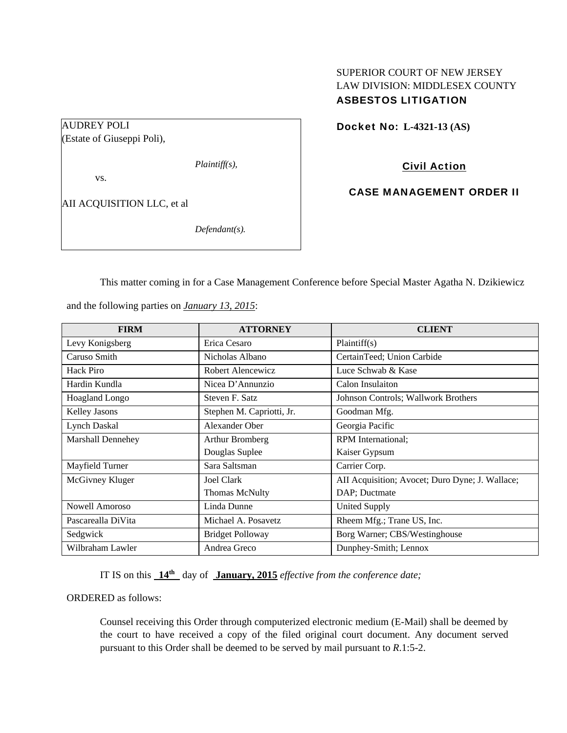# SUPERIOR COURT OF NEW JERSEY LAW DIVISION: MIDDLESEX COUNTY ASBESTOS LITIGATION

## Docket No: **L-4321-13 (AS)**

AUDREY POLI (Estate of Giuseppi Poli),

*Plaintiff(s),* 

vs.

AII ACQUISITION LLC, et al

*Defendant(s).* 

Civil Action

CASE MANAGEMENT ORDER II

This matter coming in for a Case Management Conference before Special Master Agatha N. Dzikiewicz

and the following parties on *January 13, 2015*:

| <b>FIRM</b>        | <b>ATTORNEY</b>           | <b>CLIENT</b>                                   |
|--------------------|---------------------------|-------------------------------------------------|
| Levy Konigsberg    | Erica Cesaro              | Plaintiff(s)                                    |
| Caruso Smith       | Nicholas Albano           | CertainTeed; Union Carbide                      |
| <b>Hack Piro</b>   | Robert Alencewicz         | Luce Schwab & Kase                              |
| Hardin Kundla      | Nicea D'Annunzio          | Calon Insulaiton                                |
| Hoagland Longo     | Steven F. Satz            | Johnson Controls; Wallwork Brothers             |
| Kelley Jasons      | Stephen M. Capriotti, Jr. | Goodman Mfg.                                    |
| Lynch Daskal       | Alexander Ober            | Georgia Pacific                                 |
| Marshall Dennehey  | Arthur Bromberg           | <b>RPM</b> International;                       |
|                    | Douglas Suplee            | Kaiser Gypsum                                   |
| Mayfield Turner    | Sara Saltsman             | Carrier Corp.                                   |
| McGivney Kluger    | Joel Clark                | AII Acquisition; Avocet; Duro Dyne; J. Wallace; |
|                    | <b>Thomas McNulty</b>     | DAP; Ductmate                                   |
| Nowell Amoroso     | Linda Dunne               | <b>United Supply</b>                            |
| Pascarealla DiVita | Michael A. Posavetz       | Rheem Mfg.; Trane US, Inc.                      |
| Sedgwick           | <b>Bridget Polloway</b>   | Borg Warner; CBS/Westinghouse                   |
| Wilbraham Lawler   | Andrea Greco              | Dunphey-Smith; Lennox                           |

IT IS on this **14th** day of **January, 2015** *effective from the conference date;*

ORDERED as follows:

Counsel receiving this Order through computerized electronic medium (E-Mail) shall be deemed by the court to have received a copy of the filed original court document. Any document served pursuant to this Order shall be deemed to be served by mail pursuant to *R*.1:5-2.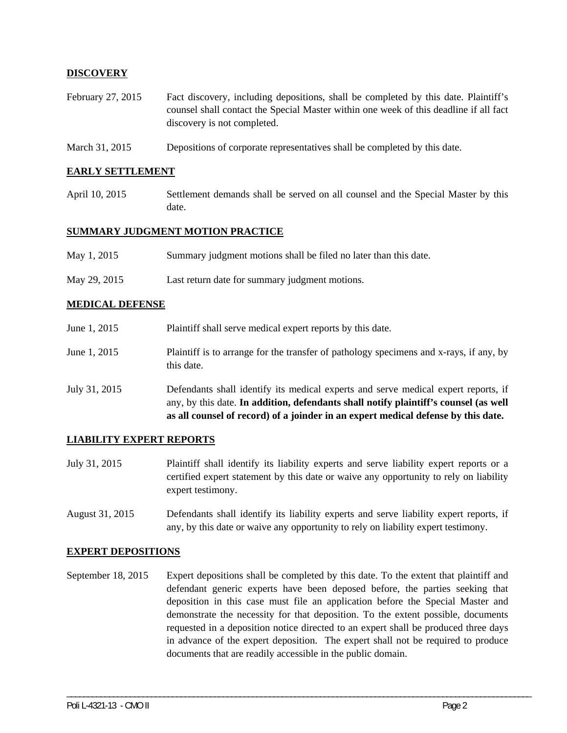## **DISCOVERY**

- February 27, 2015 Fact discovery, including depositions, shall be completed by this date. Plaintiff's counsel shall contact the Special Master within one week of this deadline if all fact discovery is not completed.
- March 31, 2015 Depositions of corporate representatives shall be completed by this date.

#### **EARLY SETTLEMENT**

April 10, 2015 Settlement demands shall be served on all counsel and the Special Master by this date.

#### **SUMMARY JUDGMENT MOTION PRACTICE**

- May 1, 2015 Summary judgment motions shall be filed no later than this date.
- May 29, 2015 Last return date for summary judgment motions.

### **MEDICAL DEFENSE**

June 1, 2015 Plaintiff shall serve medical expert reports by this date. June 1, 2015 Plaintiff is to arrange for the transfer of pathology specimens and x-rays, if any, by this date. July 31, 2015 Defendants shall identify its medical experts and serve medical expert reports, if any, by this date. **In addition, defendants shall notify plaintiff's counsel (as well** 

**as all counsel of record) of a joinder in an expert medical defense by this date.** 

### **LIABILITY EXPERT REPORTS**

- July 31, 2015 Plaintiff shall identify its liability experts and serve liability expert reports or a certified expert statement by this date or waive any opportunity to rely on liability expert testimony.
- August 31, 2015 Defendants shall identify its liability experts and serve liability expert reports, if any, by this date or waive any opportunity to rely on liability expert testimony.

#### **EXPERT DEPOSITIONS**

September 18, 2015 Expert depositions shall be completed by this date. To the extent that plaintiff and defendant generic experts have been deposed before, the parties seeking that deposition in this case must file an application before the Special Master and demonstrate the necessity for that deposition. To the extent possible, documents requested in a deposition notice directed to an expert shall be produced three days in advance of the expert deposition. The expert shall not be required to produce documents that are readily accessible in the public domain.

\_\_\_\_\_\_\_\_\_\_\_\_\_\_\_\_\_\_\_\_\_\_\_\_\_\_\_\_\_\_\_\_\_\_\_\_\_\_\_\_\_\_\_\_\_\_\_\_\_\_\_\_\_\_\_\_\_\_\_\_\_\_\_\_\_\_\_\_\_\_\_\_\_\_\_\_\_\_\_\_\_\_\_\_\_\_\_\_\_\_\_\_\_\_\_\_\_\_\_\_\_\_\_\_\_\_\_\_\_\_